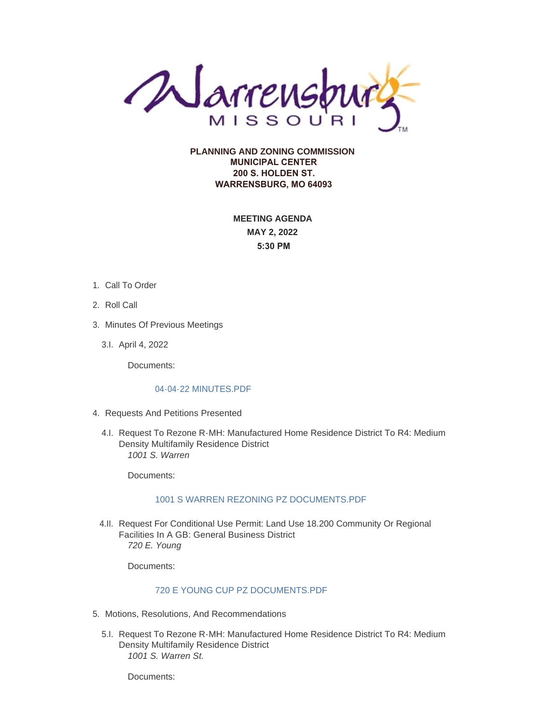

**PLANNING AND ZONING COMMISSION MUNICIPAL CENTER 200 S. HOLDEN ST. WARRENSBURG, MO 64093**

> **MEETING AGENDA MAY 2, 2022 5:30 PM**

- 1. Call To Order
- 2. Roll Call
- 3. Minutes Of Previous Meetings
	- April 4, 2022 3.I.

Documents:

#### [04-04-22 MINUTES.PDF](https://www.warrensburg-mo.com/AgendaCenter/ViewFile/Item/6037?fileID=11045)

- 4. Requests And Petitions Presented
	- 4.I. Request To Rezone R-MH: Manufactured Home Residence District To R4: Medium Density Multifamily Residence District *1001 S. Warren*

Documents:

#### [1001 S WARREN REZONING PZ DOCUMENTS.PDF](https://www.warrensburg-mo.com/AgendaCenter/ViewFile/Item/6475?fileID=11056)

4.II. Request For Conditional Use Permit: Land Use 18.200 Community Or Regional Facilities In A GB: General Business District *720 E. Young*

Documents:

# [720 E YOUNG CUP PZ DOCUMENTS.PDF](https://www.warrensburg-mo.com/AgendaCenter/ViewFile/Item/6472?fileID=11060)

- 5. Motions, Resolutions, And Recommendations
	- 5.I. Request To Rezone R-MH: Manufactured Home Residence District To R4: Medium Density Multifamily Residence District *1001 S. Warren St.*

Documents: